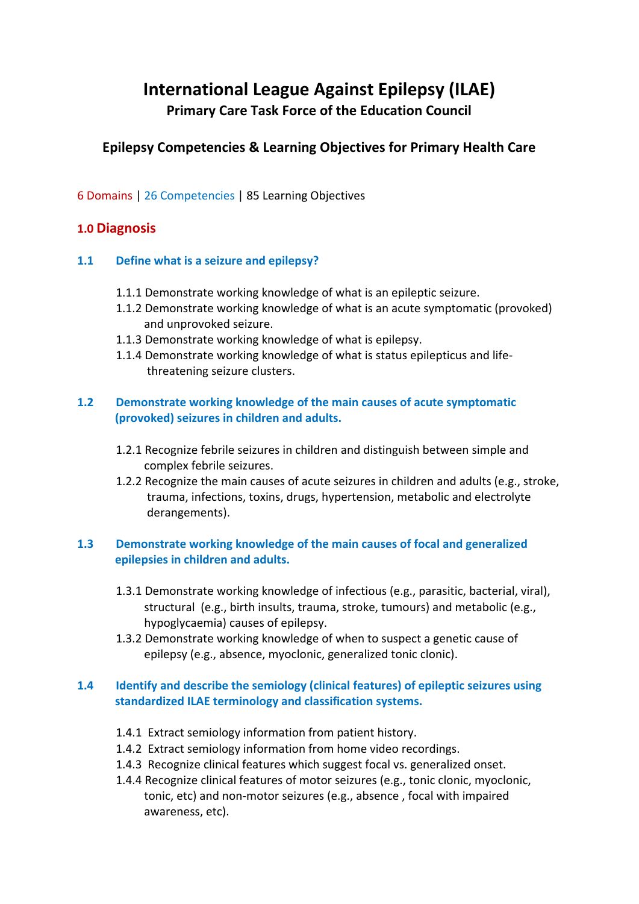# **International League Against Epilepsy (ILAE) Primary Care Task Force of the Education Council**

# **Epilepsy Competencies & Learning Objectives for Primary Health Care**

6 Domains | 26 Competencies | 85 Learning Objectives

# **1.0 Diagnosis**

### **1.1 Define what is a seizure and epilepsy?**

- 1.1.1 Demonstrate working knowledge of what is an epileptic seizure.
- 1.1.2 Demonstrate working knowledge of what is an acute symptomatic (provoked) and unprovoked seizure.
- 1.1.3 Demonstrate working knowledge of what is epilepsy.
- 1.1.4 Demonstrate working knowledge of what is status epilepticus and life threatening seizure clusters.

### **1.2 Demonstrate working knowledge of the main causes of acute symptomatic (provoked) seizures in children and adults.**

- 1.2.1 Recognize febrile seizures in children and distinguish between simple and complex febrile seizures.
- 1.2.2 Recognize the main causes of acute seizures in children and adults (e.g., stroke, trauma, infections, toxins, drugs, hypertension, metabolic and electrolyte derangements).

### **1.3 Demonstrate working knowledge of the main causes of focal and generalized epilepsies in children and adults.**

- 1.3.1 Demonstrate working knowledge of infectious (e.g., parasitic, bacterial, viral), structural (e.g., birth insults, trauma, stroke, tumours) and metabolic (e.g., hypoglycaemia) causes of epilepsy.
- 1.3.2 Demonstrate working knowledge of when to suspect a genetic cause of epilepsy (e.g., absence, myoclonic, generalized tonic clonic).

### **1.4 Identify and describe the semiology (clinical features) of epileptic seizures using standardized ILAE terminology and classification systems.**

- 1.4.1 Extract semiology information from patient history.
- 1.4.2 Extract semiology information from home video recordings.
- 1.4.3 Recognize clinical features which suggest focal vs. generalized onset.
- 1.4.4 Recognize clinical features of motor seizures (e.g., tonic clonic, myoclonic, tonic, etc) and non-motor seizures (e.g., absence , focal with impaired awareness, etc).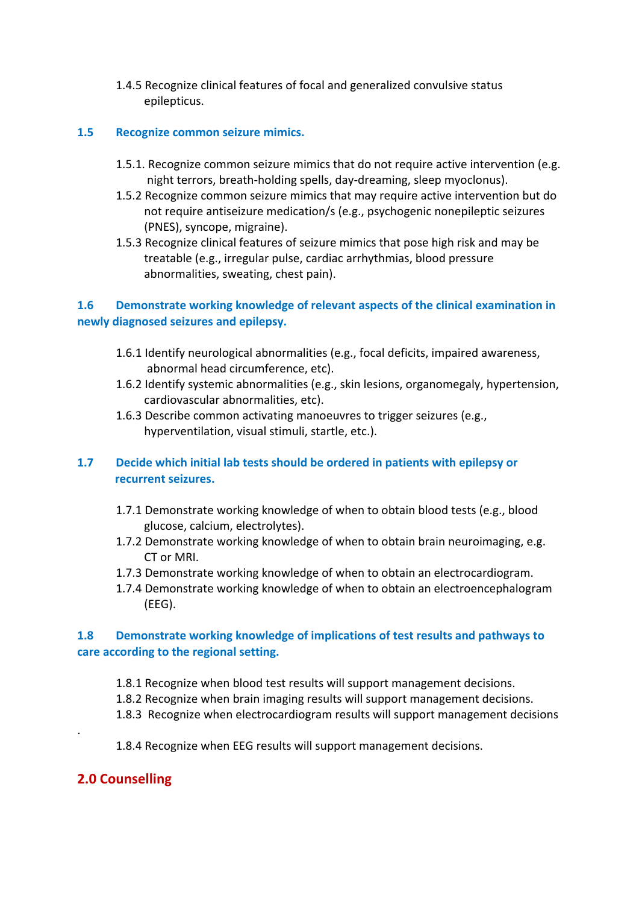1.4.5 Recognize clinical features of focal and generalized convulsive status epilepticus.

#### **1.5 Recognize common seizure mimics.**

- 1.5.1. Recognize common seizure mimics that do not require active intervention (e.g. night terrors, breath-holding spells, day-dreaming, sleep myoclonus).
- 1.5.2 Recognize common seizure mimics that may require active intervention but do not require antiseizure medication/s (e.g., psychogenic nonepileptic seizures (PNES), syncope, migraine).
- 1.5.3 Recognize clinical features of seizure mimics that pose high risk and may be treatable (e.g., irregular pulse, cardiac arrhythmias, blood pressure abnormalities, sweating, chest pain).

### **1.6 Demonstrate working knowledge of relevant aspects of the clinical examination in newly diagnosed seizures and epilepsy.**

- 1.6.1 Identify neurological abnormalities (e.g., focal deficits, impaired awareness, abnormal head circumference, etc).
- 1.6.2 Identify systemic abnormalities (e.g., skin lesions, organomegaly, hypertension, cardiovascular abnormalities, etc).
- 1.6.3 Describe common activating manoeuvres to trigger seizures (e.g., hyperventilation, visual stimuli, startle, etc.).

### **1.7 Decide which initial lab tests should be ordered in patients with epilepsy or recurrent seizures.**

- 1.7.1 Demonstrate working knowledge of when to obtain blood tests (e.g., blood glucose, calcium, electrolytes).
- 1.7.2 Demonstrate working knowledge of when to obtain brain neuroimaging, e.g. CT or MRI.
- 1.7.3 Demonstrate working knowledge of when to obtain an electrocardiogram.
- 1.7.4 Demonstrate working knowledge of when to obtain an electroencephalogram (EEG).

### **1.8 Demonstrate working knowledge of implications of test results and pathways to care according to the regional setting.**

- 1.8.1 Recognize when blood test results will support management decisions.
- 1.8.2 Recognize when brain imaging results will support management decisions.
- 1.8.3 Recognize when electrocardiogram results will support management decisions
- 1.8.4 Recognize when EEG results will support management decisions.

### **2.0 Counselling**

.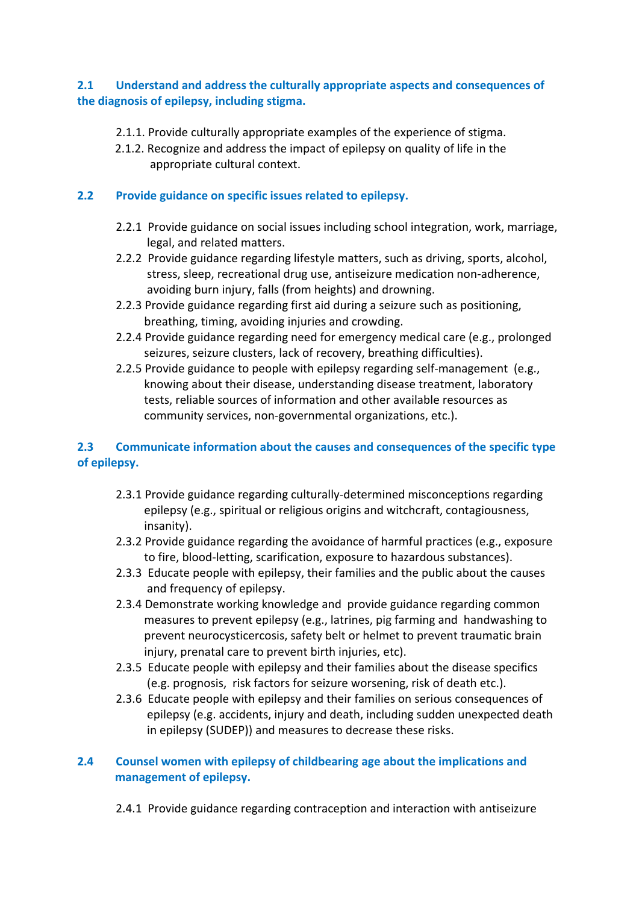### **2.1 Understand and address the culturally appropriate aspects and consequences of the diagnosis of epilepsy, including stigma.**

- 2.1.1. Provide culturally appropriate examples of the experience of stigma.
- 2.1.2. Recognize and address the impact of epilepsy on quality of life in the appropriate cultural context.

### **2.2 Provide guidance on specific issues related to epilepsy.**

- 2.2.1 Provide guidance on social issues including school integration, work, marriage, legal, and related matters.
- 2.2.2 Provide guidance regarding lifestyle matters, such as driving, sports, alcohol, stress, sleep, recreational drug use, antiseizure medication non-adherence, avoiding burn injury, falls (from heights) and drowning.
- 2.2.3 Provide guidance regarding first aid during a seizure such as positioning, breathing, timing, avoiding injuries and crowding.
- 2.2.4 Provide guidance regarding need for emergency medical care (e.g., prolonged seizures, seizure clusters, lack of recovery, breathing difficulties).
- 2.2.5 Provide guidance to people with epilepsy regarding self-management (e.g., knowing about their disease, understanding disease treatment, laboratory tests, reliable sources of information and other available resources as community services, non-governmental organizations, etc.).

### **2.3 Communicate information about the causes and consequences of the specific type of epilepsy.**

- 2.3.1 Provide guidance regarding culturally-determined misconceptions regarding epilepsy (e.g., spiritual or religious origins and witchcraft, contagiousness, insanity).
- 2.3.2 Provide guidance regarding the avoidance of harmful practices (e.g., exposure to fire, blood-letting, scarification, exposure to hazardous substances).
- 2.3.3 Educate people with epilepsy, their families and the public about the causes and frequency of epilepsy.
- 2.3.4 Demonstrate working knowledge and provide guidance regarding common measures to prevent epilepsy (e.g., latrines, pig farming and handwashing to prevent neurocysticercosis, safety belt or helmet to prevent traumatic brain injury, prenatal care to prevent birth injuries, etc).
- 2.3.5 Educate people with epilepsy and their families about the disease specifics (e.g. prognosis, risk factors for seizure worsening, risk of death etc.).
- 2.3.6 Educate people with epilepsy and their families on serious consequences of epilepsy (e.g. accidents, injury and death, including sudden unexpected death in epilepsy (SUDEP)) and measures to decrease these risks.

### **2.4 Counsel women with epilepsy of childbearing age about the implications and management of epilepsy.**

2.4.1 Provide guidance regarding contraception and interaction with antiseizure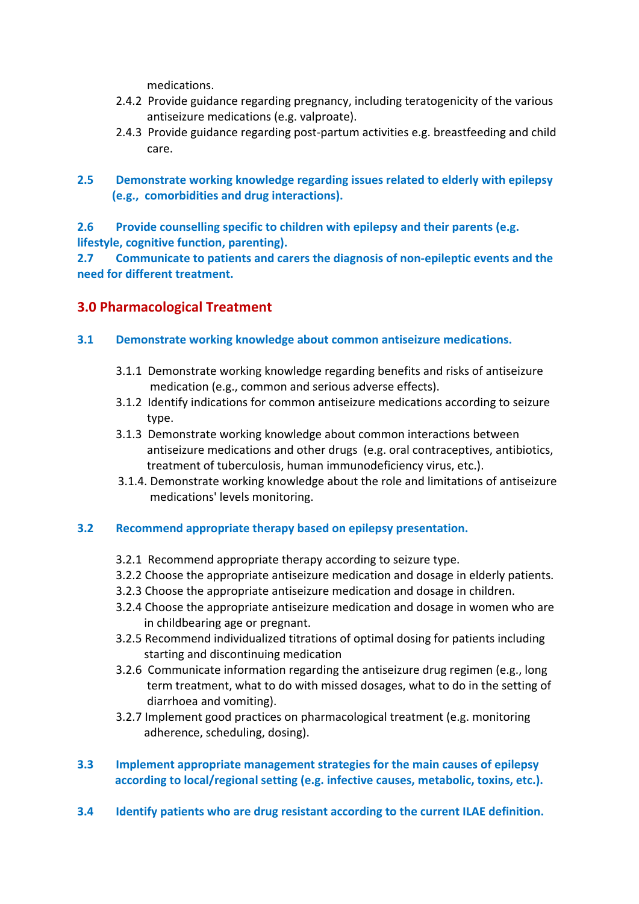medications.

- 2.4.2 Provide guidance regarding pregnancy, including teratogenicity of the various antiseizure medications (e.g. valproate).
- 2.4.3 Provide guidance regarding post-partum activities e.g. breastfeeding and child care.
- **2.5 Demonstrate working knowledge regarding issues related to elderly with epilepsy (e.g., comorbidities and drug interactions).**

**2.6 Provide counselling specific to children with epilepsy and their parents (e.g. lifestyle, cognitive function, parenting).**

**2.7 Communicate to patients and carers the diagnosis of non-epileptic events and the need for different treatment.**

# **3.0 Pharmacological Treatment**

- **3.1 Demonstrate working knowledge about common antiseizure medications.**
	- 3.1.1 Demonstrate working knowledge regarding benefits and risks of antiseizure medication (e.g., common and serious adverse effects).
	- 3.1.2 Identify indications for common antiseizure medications according to seizure type.
	- 3.1.3 Demonstrate working knowledge about common interactions between antiseizure medications and other drugs (e.g. oral contraceptives, antibiotics, treatment of tuberculosis, human immunodeficiency virus, etc.).
	- 3.1.4. Demonstrate working knowledge about the role and limitations of antiseizure medications' levels monitoring.

### **3.2 Recommend appropriate therapy based on epilepsy presentation.**

- 3.2.1 Recommend appropriate therapy according to seizure type.
- 3.2.2 Choose the appropriate antiseizure medication and dosage in elderly patients.
- 3.2.3 Choose the appropriate antiseizure medication and dosage in children.
- 3.2.4 Choose the appropriate antiseizure medication and dosage in women who are in childbearing age or pregnant.
- 3.2.5 Recommend individualized titrations of optimal dosing for patients including starting and discontinuing medication
- 3.2.6 Communicate information regarding the antiseizure drug regimen (e.g., long term treatment, what to do with missed dosages, what to do in the setting of diarrhoea and vomiting).
- 3.2.7 Implement good practices on pharmacological treatment (e.g. monitoring adherence, scheduling, dosing).
- **3.3 Implement appropriate management strategies for the main causes of epilepsy according to local/regional setting (e.g. infective causes, metabolic, toxins, etc.).**
- **3.4 Identify patients who are drug resistant according to the current ILAE definition.**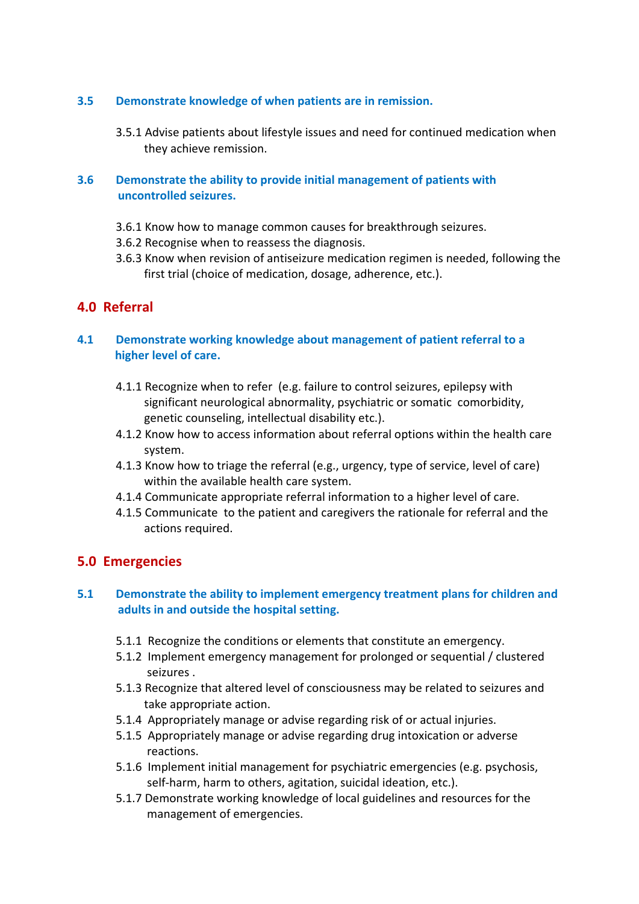### **3.5 Demonstrate knowledge of when patients are in remission.**

3.5.1 Advise patients about lifestyle issues and need for continued medication when they achieve remission.

### **3.6 Demonstrate the ability to provide initial management of patients with uncontrolled seizures.**

- 3.6.1 Know how to manage common causes for breakthrough seizures.
- 3.6.2 Recognise when to reassess the diagnosis.
- 3.6.3 Know when revision of antiseizure medication regimen is needed, following the first trial (choice of medication, dosage, adherence, etc.).

# **4.0 Referral**

### **4.1 Demonstrate working knowledge about management of patient referral to a higher level of care.**

- 4.1.1 Recognize when to refer (e.g. failure to control seizures, epilepsy with significant neurological abnormality, psychiatric or somatic comorbidity, genetic counseling, intellectual disability etc.).
- 4.1.2 Know how to access information about referral options within the health care system.
- 4.1.3 Know how to triage the referral (e.g., urgency, type of service, level of care) within the available health care system.
- 4.1.4 Communicate appropriate referral information to a higher level of care.
- 4.1.5 Communicate to the patient and caregivers the rationale for referral and the actions required.

### **5.0 Emergencies**

#### **5.1 Demonstrate the ability to implement emergency treatment plans for children and adults in and outside the hospital setting.**

- 5.1.1 Recognize the conditions or elements that constitute an emergency.
- 5.1.2 Implement emergency management for prolonged or sequential / clustered seizures .
- 5.1.3 Recognize that altered level of consciousness may be related to seizures and take appropriate action.
- 5.1.4 Appropriately manage or advise regarding risk of or actual injuries.
- 5.1.5 Appropriately manage or advise regarding drug intoxication or adverse reactions.
- 5.1.6 Implement initial management for psychiatric emergencies (e.g. psychosis, self-harm, harm to others, agitation, suicidal ideation, etc.).
- 5.1.7 Demonstrate working knowledge of local guidelines and resources for the management of emergencies.